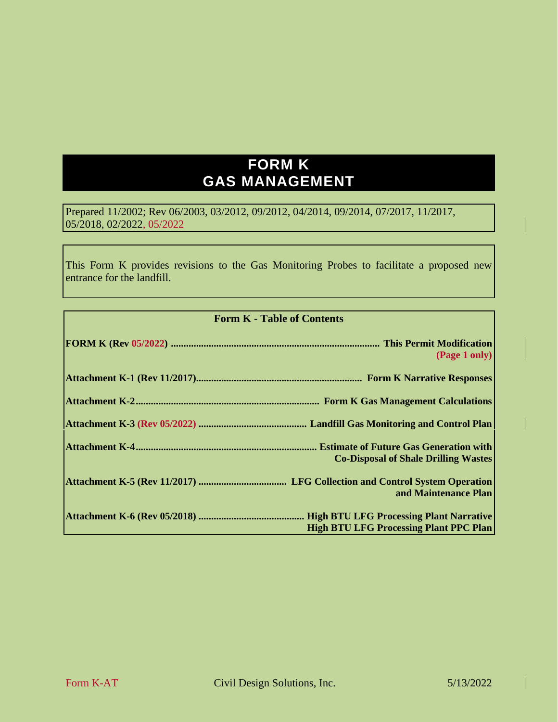# **FORM K GAS MANAGEMENT**

Prepared 11/2002; Rev 06/2003, 03/2012, 09/2012, 04/2014, 09/2014, 07/2017, 11/2017, 05/2018, 02/2022, 05/2022

This Form K provides revisions to the Gas Monitoring Probes to facilitate a proposed new entrance for the landfill.

#### **Form K - Table of Contents**

| (Page 1 only)                                 |
|-----------------------------------------------|
|                                               |
|                                               |
|                                               |
| <b>Co-Disposal of Shale Drilling Wastes</b>   |
| and Maintenance Plan                          |
| <b>High BTU LFG Processing Plant PPC Plan</b> |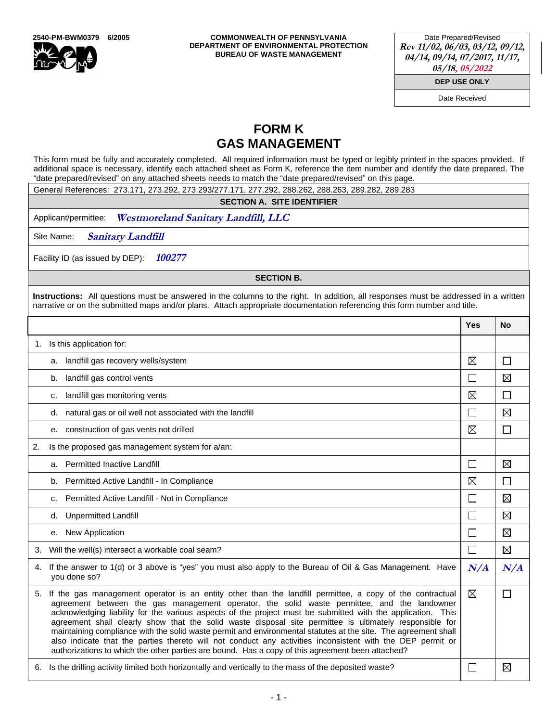

**2540-PM-BWM0379 6/2005 COMMONWEALTH OF PENNSYLVANIA DEPARTMENT OF ENVIRONMENTAL PROTECTION BUREAU OF WASTE MANAGEMENT** 

Date Prepared/Revised **Rev 11/02, 06/03, 03/12, 09/12, 04/14, 09/14, 07/2017, 11/17, 05/18, 05/2022**

**DEP USE ONLY**

Date Received

# **FORM K GAS MANAGEMENT**

This form must be fully and accurately completed. All required information must be typed or legibly printed in the spaces provided. If additional space is necessary, identify each attached sheet as Form K, reference the item number and identify the date prepared. The "date prepared/revised" on any attached sheets needs to match the "date prepared/revised" on this page.

General References: 273.171, 273.292, 273.293/277.171, 277.292, 288.262, 288.263, 289.282, 289.283

**SECTION A. SITE IDENTIFIER** 

Applicant/permittee: **Westmoreland Sanitary Landfill, LLC** 

Site Name: **Sanitary Landfill** 

Facility ID (as issued by DEP): **100277** 

**SECTION B.** 

**Instructions:** All questions must be answered in the columns to the right. In addition, all responses must be addressed in a written narrative or on the submitted maps and/or plans. Attach appropriate documentation referencing this form number and title.

|    |                                                                                                                                                                                                                                                                                                                                                                                                                                                                                                                                                                                                                                                                                                                                                                       | <b>Yes</b>                  | <b>No</b>   |  |  |
|----|-----------------------------------------------------------------------------------------------------------------------------------------------------------------------------------------------------------------------------------------------------------------------------------------------------------------------------------------------------------------------------------------------------------------------------------------------------------------------------------------------------------------------------------------------------------------------------------------------------------------------------------------------------------------------------------------------------------------------------------------------------------------------|-----------------------------|-------------|--|--|
|    | 1. Is this application for:                                                                                                                                                                                                                                                                                                                                                                                                                                                                                                                                                                                                                                                                                                                                           |                             |             |  |  |
|    | a. landfill gas recovery wells/system                                                                                                                                                                                                                                                                                                                                                                                                                                                                                                                                                                                                                                                                                                                                 | ⊠                           | П           |  |  |
|    | b. landfill gas control vents                                                                                                                                                                                                                                                                                                                                                                                                                                                                                                                                                                                                                                                                                                                                         | □                           | $\boxtimes$ |  |  |
|    | landfill gas monitoring vents<br>c.                                                                                                                                                                                                                                                                                                                                                                                                                                                                                                                                                                                                                                                                                                                                   | ⊠                           | $\Box$      |  |  |
|    | d. natural gas or oil well not associated with the landfill                                                                                                                                                                                                                                                                                                                                                                                                                                                                                                                                                                                                                                                                                                           | П                           | $\boxtimes$ |  |  |
|    | e. construction of gas vents not drilled                                                                                                                                                                                                                                                                                                                                                                                                                                                                                                                                                                                                                                                                                                                              | ⊠                           | П           |  |  |
| 2. | Is the proposed gas management system for a/an:                                                                                                                                                                                                                                                                                                                                                                                                                                                                                                                                                                                                                                                                                                                       |                             |             |  |  |
|    | a. Permitted Inactive Landfill                                                                                                                                                                                                                                                                                                                                                                                                                                                                                                                                                                                                                                                                                                                                        | $\Box$                      | ⊠           |  |  |
|    | b. Permitted Active Landfill - In Compliance                                                                                                                                                                                                                                                                                                                                                                                                                                                                                                                                                                                                                                                                                                                          | ⊠                           | П           |  |  |
|    | c. Permitted Active Landfill - Not in Compliance                                                                                                                                                                                                                                                                                                                                                                                                                                                                                                                                                                                                                                                                                                                      | $\Box$                      | $\boxtimes$ |  |  |
|    | d. Unpermitted Landfill                                                                                                                                                                                                                                                                                                                                                                                                                                                                                                                                                                                                                                                                                                                                               | $\mathcal{L}_{\mathcal{A}}$ | $\boxtimes$ |  |  |
|    | <b>New Application</b><br>е.                                                                                                                                                                                                                                                                                                                                                                                                                                                                                                                                                                                                                                                                                                                                          | $\Box$                      | $\boxtimes$ |  |  |
| 3. | Will the well(s) intersect a workable coal seam?                                                                                                                                                                                                                                                                                                                                                                                                                                                                                                                                                                                                                                                                                                                      | $\Box$                      | $\boxtimes$ |  |  |
|    | 4. If the answer to 1(d) or 3 above is "yes" you must also apply to the Bureau of Oil & Gas Management. Have<br>you done so?                                                                                                                                                                                                                                                                                                                                                                                                                                                                                                                                                                                                                                          |                             |             |  |  |
| 5. | If the gas management operator is an entity other than the landfill permittee, a copy of the contractual<br>agreement between the gas management operator, the solid waste permittee, and the landowner<br>acknowledging liability for the various aspects of the project must be submitted with the application. This<br>agreement shall clearly show that the solid waste disposal site permittee is ultimately responsible for<br>maintaining compliance with the solid waste permit and environmental statutes at the site. The agreement shall<br>also indicate that the parties thereto will not conduct any activities inconsistent with the DEP permit or<br>authorizations to which the other parties are bound. Has a copy of this agreement been attached? | ⊠                           | П           |  |  |
|    | 6. Is the drilling activity limited both horizontally and vertically to the mass of the deposited waste?                                                                                                                                                                                                                                                                                                                                                                                                                                                                                                                                                                                                                                                              |                             | $\boxtimes$ |  |  |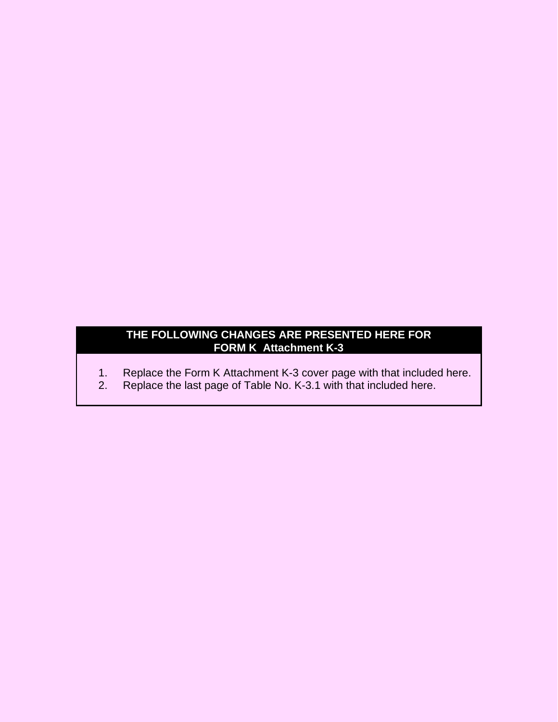## **THE FOLLOWING CHANGES ARE PRESENTED HERE FOR FORM K Attachment K-3**

- 1. Replace the Form K Attachment K-3 cover page with that included here.
- 2. Replace the last page of Table No. K-3.1 with that included here.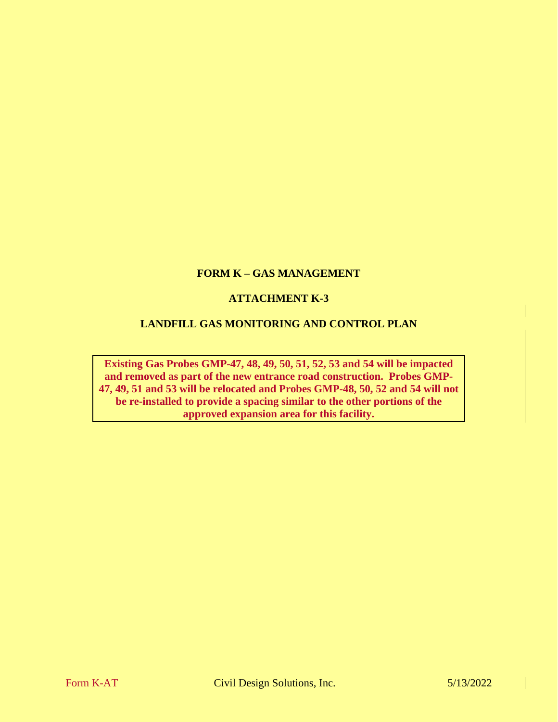## **FORM K – GAS MANAGEMENT**

### **ATTACHMENT K-3**

#### **LANDFILL GAS MONITORING AND CONTROL PLAN**

**Existing Gas Probes GMP-47, 48, 49, 50, 51, 52, 53 and 54 will be impacted and removed as part of the new entrance road construction. Probes GMP-47, 49, 51 and 53 will be relocated and Probes GMP-48, 50, 52 and 54 will not be re-installed to provide a spacing similar to the other portions of the approved expansion area for this facility.**